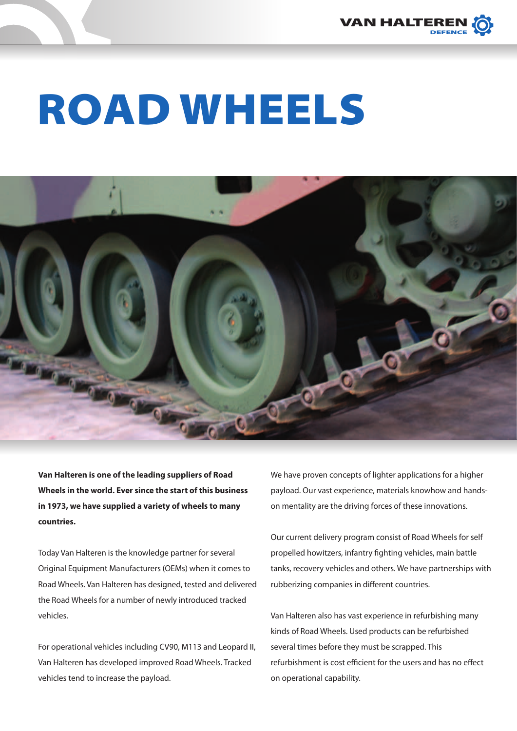

## ROAD WHEELS



**Van Halteren is one of the leading suppliers of Road Wheels in the world. Ever since the start of this business in 1973, we have supplied a variety of wheels to many countries.**

Today Van Halteren is the knowledge partner for several Original Equipment Manufacturers (OEMs) when it comes to Road Wheels. Van Halteren has designed, tested and delivered the Road Wheels for a number of newly introduced tracked vehicles.

For operational vehicles including CV90, M113 and Leopard II, Van Halteren has developed improved Road Wheels. Tracked vehicles tend to increase the payload.

We have proven concepts of lighter applications for a higher payload. Our vast experience, materials knowhow and handson mentality are the driving forces of these innovations.

Our current delivery program consist of Road Wheels for self propelled howitzers, infantry fighting vehicles, main battle tanks, recovery vehicles and others. We have partnerships with rubberizing companies in different countries.

Van Halteren also has vast experience in refurbishing many kinds of Road Wheels. Used products can be refurbished several times before they must be scrapped. This refurbishment is cost efficient for the users and has no effect on operational capability.